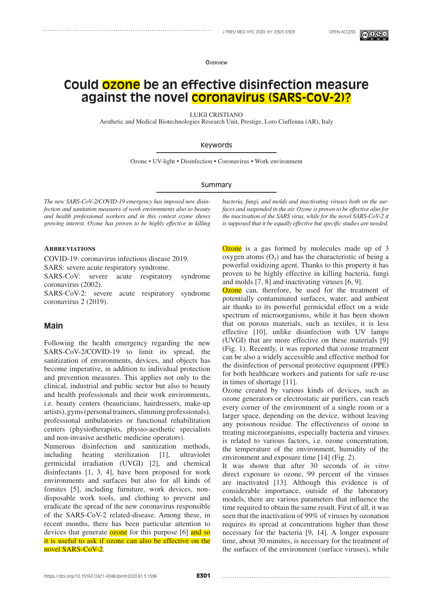**OVERVIEW** 

# **Could ozone be an effective disinfection measure against the novel coronavirus (SARS-CoV-2)?**

LUIGI CRISTIANO

Aesthetic and Medical Biotechnologies Research Unit, Prestige, Loro Ciuffenna (AR), Italy

### Keywords

Ozone • UV-light • Disinfection • Coronavirus • Work environment

#### Summary

*The new SARS-CoV-2/COVID-19 emergency has imposed new disinfection and sanitation measures of work environments also to beauty and health professional workers and in this context ozone shows growing interest. Ozone has proven to be highly effective in killing* 

**Abbreviations**

COVID-19: coronavirus infectious disease 2019.

SARS: severe acute respiratory syndrome.

SARS-CoV: severe acute respiratory syndrome coronavirus (2002).

SARS-CoV-2: severe acute respiratory syndrome coronavirus 2 (2019).

# **Main**

Following the health emergency regarding the new SARS-CoV-2/COVID-19 to limit its spread, the sanitization of environments, devices, and objects has become imperative, in addition to individual protection and prevention measures. This applies not only to the clinical, industrial and public sector but also to beauty and health professionals and their work environments, i.e. beauty centers (beauticians, hairdressers, make-up artists), gyms (personal trainers, slimming professionals), professional ambulatories or functional rehabilitation centers (physiotherapists, physio-aesthetic specialists and non-invasive aesthetic medicine operators).

Numerous disinfection and sanitization methods, including heating sterilization [1], ultraviolet germicidal irradiation (UVGI) [2], and chemical disinfectants [1, 3, 4], have been proposed for work environments and surfaces but also for all kinds of fomites [5], including furniture, work devices, nondisposable work tools, and clothing to prevent and eradicate the spread of the new coronavirus responsible of the SARS-CoV-2 related-disease. Among these, in recent months, there has been particular attention to devices that generate **ozone** for this purpose [6] and so it is useful to ask if ozone can also be effective on the novel SARS-CoV-2.

*bacteria, fungi, and molds and inactivating viruses both on the surfaces and suspended in the air. Ozone is proven to be effective also for the inactivation of the SARS virus, while for the novel SARS-CoV-2 it is supposed that it be equally effective but specific studies are needed.*

Ozone is a gas formed by molecules made up of 3 oxygen atoms  $(O_3)$  and has the characteristic of being a powerful oxidizing agent. Thanks to this property it has proven to be highly effective in killing bacteria, fungi and molds [7, 8] and inactivating viruses [6, 9].

Ozone can, therefore, be used for the treatment of potentially contaminated surfaces, water, and ambient air thanks to its powerful germicidal effect on a wide spectrum of microorganisms, while it has been shown that on porous materials, such as textiles, it is less effective [10], unlike disinfection with UV lamps (UVGI) that are more effective on these materials [9] (Fig. 1). Recently, it was reported that ozone treatment can be also a widely accessible and effective method for the disinfection of personal protective equipment (PPE) for both healthcare workers and patients for safe re-use in times of shortage [11].

Ozone created by various kinds of devices, such as ozone generators or electrostatic air purifiers, can reach every corner of the environment of a single room or a larger space, depending on the device, without leaving any poisonous residue. The effectiveness of ozone in treating microorganisms, especially bacteria and viruses is related to various factors, i.e. ozone concentration, the temperature of the environment, humidity of the environment and exposure time [14] (Fig. 2).

It was shown that after 30 seconds of *in vitro* direct exposure to ozone, 99 percent of the viruses are inactivated [13]. Although this evidence is of considerable importance, outside of the laboratory models, there are various parameters that influence the time required to obtain the same result. First of all, it was seen that the inactivation of 99% of viruses by ozonation requires its spread at concentrations higher than those necessary for the bacteria [9, 14]. A longer exposure time, about 30 minutes, is necessary for the treatment of the surfaces of the environment (surface viruses), while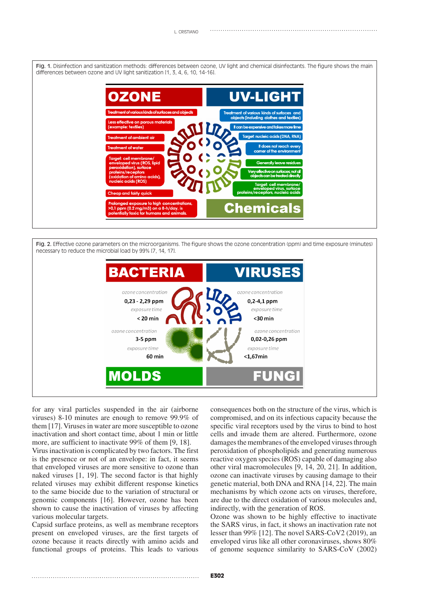Fig. 1. Disinfection and sanitization methods: differences between ozone, UV light and chemical disinfectants. The figure shows the main differences between ozone and UV light sanitization [1, 3, 4, 6, 10, 14-16].



Fig. 2. Effective ozone parameters on the microorganisms. The figure shows the ozone concentration (ppm) and time exposure (minutes) necessary to reduce the microbial load by 99% [7, 14, 17].



for any viral particles suspended in the air (airborne viruses) 8-10 minutes are enough to remove 99.9% of them [17]. Viruses in water are more susceptible to ozone inactivation and short contact time, about 1 min or little more, are sufficient to inactivate 99% of them [9, 18].

Virus inactivation is complicated by two factors. The first is the presence or not of an envelope: in fact, it seems that enveloped viruses are more sensitive to ozone than naked viruses [1, 19]. The second factor is that highly related viruses may exhibit different response kinetics to the same biocide due to the variation of structural or genomic components [16]. However, ozone has been shown to cause the inactivation of viruses by affecting various molecular targets.

Capsid surface proteins, as well as membrane receptors present on enveloped viruses, are the first targets of ozone because it reacts directly with amino acids and functional groups of proteins. This leads to various

consequences both on the structure of the virus, which is compromised, and on its infectious capacity because the specific viral receptors used by the virus to bind to host cells and invade them are altered. Furthermore, ozone damages the membranes of the enveloped viruses through peroxidation of phospholipids and generating numerous reactive oxygen species (ROS) capable of damaging also other viral macromolecules [9, 14, 20, 21]. In addition, ozone can inactivate viruses by causing damage to their genetic material, both DNA and RNA [14, 22]. The main mechanisms by which ozone acts on viruses, therefore, are due to the direct oxidation of various molecules and, indirectly, with the generation of ROS.

Ozone was shown to be highly effective to inactivate the SARS virus, in fact, it shows an inactivation rate not lesser than 99% [12]. The novel SARS-CoV2 (2019), an enveloped virus like all other coronaviruses, shows 80% of genome sequence similarity to SARS-CoV (2002)